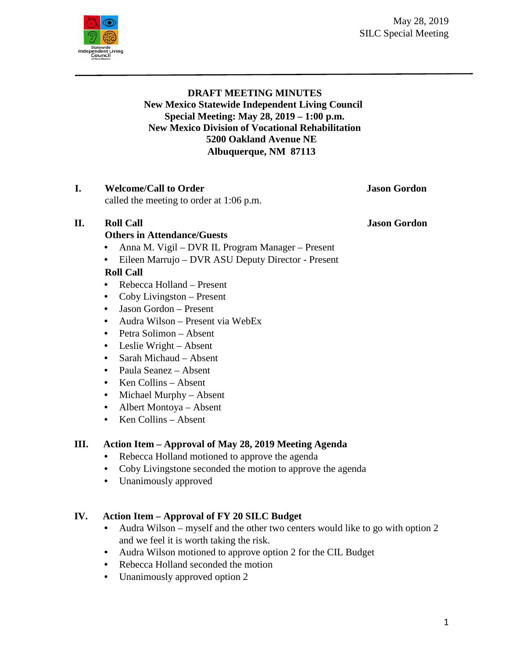May 28, 2019 SILC Special Meeting



# **DRAFT MEETING MINUTES New Mexico Statewide Independent Living Council Special Meeting: May 28, 2019 – 1:00 p.m. New Mexico Division of Vocational Rehabilitation 5200 Oakland Avenue NE Albuquerque, NM 87113**

# **I. Welcome/Call to Order Jason Gordon**

called the meeting to order at 1:06 p.m.

## **II. Roll Call Jason Gordon**

## **Others in Attendance/Guests**

- Anna M. Vigil DVR IL Program Manager Present
- Eileen Marrujo DVR ASU Deputy Director Present

# **Roll Call**

- Rebecca Holland Present
- Coby Livingston Present
- Jason Gordon Present
- Audra Wilson Present via WebEx
- Petra Solimon Absent
- Leslie Wright Absent
- Sarah Michaud Absent
- Paula Seanez Absent
- Ken Collins Absent
- Michael Murphy Absent
- Albert Montoya Absent
- Ken Collins Absent

## **III. Action Item – Approval of May 28, 2019 Meeting Agenda**

- Rebecca Holland motioned to approve the agenda
- Coby Livingstone seconded the motion to approve the agenda
- Unanimously approved

## **IV. Action Item – Approval of FY 20 SILC Budget**

- Audra Wilson myself and the other two centers would like to go with option 2 and we feel it is worth taking the risk.
- Audra Wilson motioned to approve option 2 for the CIL Budget
- Rebecca Holland seconded the motion
- Unanimously approved option 2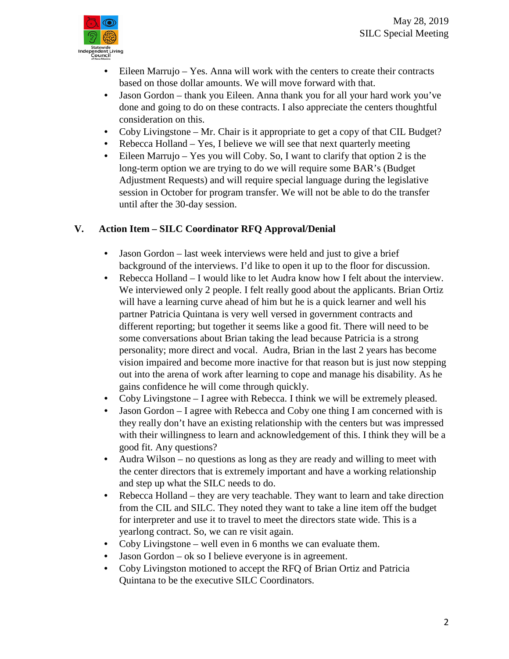

- Eileen Marrujo Yes. Anna will work with the centers to create their contracts based on those dollar amounts. We will move forward with that.
- Jason Gordon thank you Eileen. Anna thank you for all your hard work you've done and going to do on these contracts. I also appreciate the centers thoughtful consideration on this.
- Coby Livingstone Mr. Chair is it appropriate to get a copy of that CIL Budget?
- Rebecca Holland Yes, I believe we will see that next quarterly meeting
- Eileen Marrujo Yes you will Coby. So, I want to clarify that option 2 is the long-term option we are trying to do we will require some BAR's (Budget Adjustment Requests) and will require special language during the legislative session in October for program transfer. We will not be able to do the transfer until after the 30-day session.

# **V. Action Item – SILC Coordinator RFQ Approval/Denial**

- Jason Gordon last week interviews were held and just to give a brief background of the interviews. I'd like to open it up to the floor for discussion.
- Rebecca Holland I would like to let Audra know how I felt about the interview. We interviewed only 2 people. I felt really good about the applicants. Brian Ortiz will have a learning curve ahead of him but he is a quick learner and well his partner Patricia Quintana is very well versed in government contracts and different reporting; but together it seems like a good fit. There will need to be some conversations about Brian taking the lead because Patricia is a strong personality; more direct and vocal. Audra, Brian in the last 2 years has become vision impaired and become more inactive for that reason but is just now stepping out into the arena of work after learning to cope and manage his disability. As he gains confidence he will come through quickly.
- Coby Livingstone I agree with Rebecca. I think we will be extremely pleased.
- Jason Gordon I agree with Rebecca and Coby one thing I am concerned with is they really don't have an existing relationship with the centers but was impressed with their willingness to learn and acknowledgement of this. I think they will be a good fit. Any questions?
- Audra Wilson no questions as long as they are ready and willing to meet with the center directors that is extremely important and have a working relationship and step up what the SILC needs to do.
- Rebecca Holland they are very teachable. They want to learn and take direction from the CIL and SILC. They noted they want to take a line item off the budget for interpreter and use it to travel to meet the directors state wide. This is a yearlong contract. So, we can re visit again.
- Coby Livingstone well even in 6 months we can evaluate them.
- Jason Gordon ok so I believe everyone is in agreement.
- Coby Livingston motioned to accept the RFQ of Brian Ortiz and Patricia Quintana to be the executive SILC Coordinators.